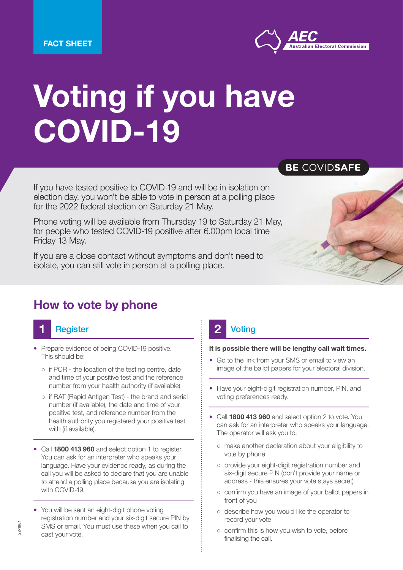

# Voting if you have COVID-19

If you have tested positive to COVID-19 and will be in isolation on election day, you won't be able to vote in person at a polling place for the 2022 federal election on Saturday 21 May.

Phone voting will be available from Thursday 19 to Saturday 21 May, for people who tested COVID-19 positive after 6.00pm local time Friday 13 May.

If you are a close contact without symptoms and don't need to isolate, you can still vote in person at a polling place.

## How to vote by phone

# **1** Register **1** 2

- Prepare evidence of being COVID-19 positive. This should be:
	- if PCR the location of the testing centre, date and time of your positive test and the reference number from your health authority (if available)
	- if RAT (Rapid Antigen Test) the brand and serial number (if available), the date and time of your positive test, and reference number from the health authority you registered your positive test with (if available).
- Call 1800 413 960 and select option 1 to register. You can ask for an interpreter who speaks your language. Have your evidence ready, as during the call you will be asked to declare that you are unable to attend a polling place because you are isolating with COVID-19.
- You will be sent an eight-digit phone voting registration number and your six-digit secure PIN by SMS or email. You must use these when you call to cast your vote.



#### It is possible there will be lengthy call wait times.

- Go to the link from your SMS or email to view an image of the ballot papers for your electoral division.
- Have your eight-digit registration number, PIN, and voting preferences ready.
- Call 1800 413 960 and select option 2 to vote. You can ask for an interpreter who speaks your language. The operator will ask you to:
	- make another declaration about your eligibility to vote by phone
	- provide your eight-digit registration number and six-digit secure PIN (don't provide your name or address - this ensures your vote stays secret)
	- confirm you have an image of your ballot papers in front of you
	- describe how you would like the operator to record your vote
	- confirm this is how you wish to vote, before finalising the call.